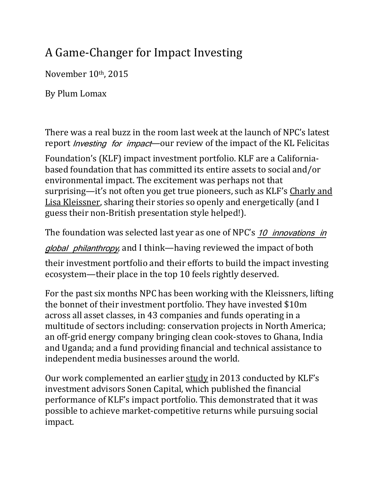## A Game-Changer for Impact Investing

November 10<sup>th</sup>, 2015

By Plum Lomax

There was a real buzz in the room last week at the launch of NPC's latest report *Investing for impact*—our review of the impact of the KL Felicitas

Foundation's (KLF) impact investment portfolio. KLF are a Californiabased foundation that has committed its entire assets to social and/or environmental impact. The excitement was perhaps not that surprising—it's not often you get true pioneers, such as KLF's Charly and Lisa Kleissner, sharing their stories so openly and energetically (and I guess their non-British presentation style helped!).

The foundation was selected last year as one of NPC's 10 *innovations in* 

*global philanthropy*, and I think—having reviewed the impact of both

their investment portfolio and their efforts to build the impact investing ecosystem—their place in the top 10 feels rightly deserved.

For the past six months NPC has been working with the Kleissners, lifting the bonnet of their investment portfolio. They have invested \$10m across all asset classes, in 43 companies and funds operating in a multitude of sectors including: conservation projects in North America; an off-grid energy company bringing clean cook-stoves to Ghana, India and Uganda; and a fund providing financial and technical assistance to independent media businesses around the world.

Our work complemented an earlier study in 2013 conducted by KLF's investment advisors Sonen Capital, which published the financial performance of KLF's impact portfolio. This demonstrated that it was possible to achieve market-competitive returns while pursuing social impact.